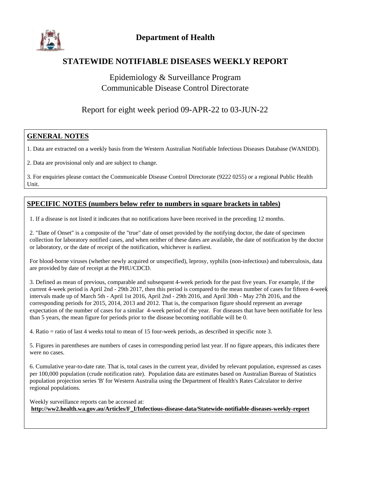

## **STATEWIDE NOTIFIABLE DISEASES WEEKLY REPORT**

## Epidemiology & Surveillance Program Communicable Disease Control Directorate

## Report for eight week period 09-APR-22 to 03-JUN-22

#### **GENERAL NOTES**

1. Data are extracted on a weekly basis from the Western Australian Notifiable Infectious Diseases Database (WANIDD).

2. Data are provisional only and are subject to change.

3. For enquiries please contact the Communicable Disease Control Directorate (9222 0255) or a regional Public Health Unit.

#### **SPECIFIC NOTES (numbers below refer to numbers in square brackets in tables)**

1. If a disease is not listed it indicates that no notifications have been received in the preceding 12 months.

2. "Date of Onset" is a composite of the "true" date of onset provided by the notifying doctor, the date of specimen collection for laboratory notified cases, and when neither of these dates are available, the date of notification by the doctor or laboratory, or the date of receipt of the notification, whichever is earliest.

For blood-borne viruses (whether newly acquired or unspecified), leprosy, syphilis (non-infectious) and tuberculosis, data are provided by date of receipt at the PHU/CDCD.

3. Defined as mean of previous, comparable and subsequent 4-week periods for the past five years. For example, if the current 4-week period is April 2nd - 29th 2017, then this period is compared to the mean number of cases for fifteen 4-week intervals made up of March 5th - April 1st 2016, April 2nd - 29th 2016, and April 30th - May 27th 2016, and the corresponding periods for 2015, 2014, 2013 and 2012. That is, the comparison figure should represent an average expectation of the number of cases for a similar 4-week period of the year. For diseases that have been notifiable for less than 5 years, the mean figure for periods prior to the disease becoming notifiable will be 0.

4. Ratio = ratio of last 4 weeks total to mean of 15 four-week periods, as described in specific note 3.

5. Figures in parentheses are numbers of cases in corresponding period last year. If no figure appears, this indicates there were no cases.

6. Cumulative year-to-date rate. That is, total cases in the current year, divided by relevant population, expressed as cases per 100,000 population (crude notification rate). Population data are estimates based on Australian Bureau of Statistics population projection series 'B' for Western Australia using the Department of Health's Rates Calculator to derive regional populations.

Weekly surveillance reports can be accessed at: **http://ww2.health.wa.gov.au/Articles/F\_I/Infectious-disease-data/Statewide-notifiable-diseases-weekly-report**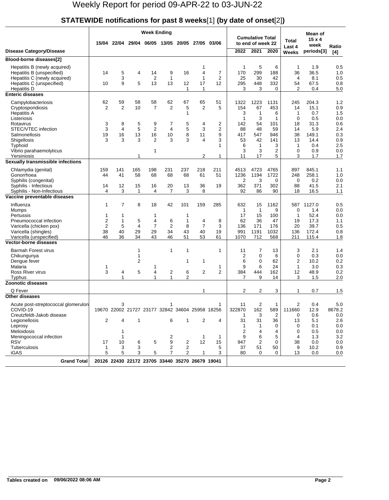# **STATEWIDE notifications for past 8 weeks**[1] **(by date of onset**[2]**)**

|                                                           |                | <b>Week Ending</b>  |                |                                                 |                    |              |              |              |                    |                                              |              |                    | Mean of        |            |
|-----------------------------------------------------------|----------------|---------------------|----------------|-------------------------------------------------|--------------------|--------------|--------------|--------------|--------------------|----------------------------------------------|--------------|--------------------|----------------|------------|
|                                                           |                | 15/04 22/04         |                | 29/04 06/05 13/05                               |                    | 20/05        |              | 27/05 03/06  |                    | <b>Cumulative Total</b><br>to end of week 22 |              | Total              | $15 \times 4$  |            |
|                                                           |                |                     |                |                                                 |                    |              |              |              |                    |                                              |              | Last 4             | week           | Ratio      |
| <b>Disease Category/Disease</b>                           |                |                     |                |                                                 |                    |              |              |              | 2022               | 2021                                         | 2020         | Weeks              | periods[3]     | [4]        |
| Blood-borne diseases[2]                                   |                |                     |                |                                                 |                    |              |              |              |                    |                                              |              |                    |                |            |
| Hepatitis B (newly acquired)                              |                |                     |                |                                                 |                    |              | 1            |              | 1                  | 5                                            | 6            | $\mathbf{1}$       | 1.9            | 0.5        |
| Hepatitis B (unspecified)                                 | 14             | 5                   | 4              | 14                                              | 9                  | 16           | 4            | 7            | 170                | 299                                          | 188          | 36                 | 36.5           | 1.0        |
| Hepatitis C (newly acquired)<br>Hepatitis C (unspecified) | 10             | 3<br>9              | 5              | $\overline{2}$<br>13                            | $\mathbf{1}$<br>13 | 12           | 1<br>17      | 2<br>12      | 25<br>295          | 30<br>448                                    | 42<br>332    | 4<br>54            | 8.1<br>67.5    | 0.5<br>0.8 |
| Hepatitis D                                               |                |                     |                |                                                 |                    | 1            | 1            |              | 3                  | 3                                            | $\Omega$     | 2                  | 0.4            | 5.0        |
| <b>Enteric diseases</b>                                   |                |                     |                |                                                 |                    |              |              |              |                    |                                              |              |                    |                |            |
| Campylobacteriosis                                        | 62             | 59                  | 58             | 58                                              | 62                 | 67           | 65           | 51           | 1322               | 1223                                         | 1131         | 245                | 204.3          | 1.2        |
| Cryptosporidiosis                                         | 2              | $\overline{2}$      | 10             | 7                                               | 2                  | 5            | 2            | 5            | 154                | 67                                           | 453          | 14                 | 15.1           | 0.9        |
| <b>Hepatitis A</b>                                        |                |                     |                |                                                 |                    | 1            |              |              | 3                  | $\mathbf 1$                                  | 6            | $\mathbf{1}$       | 0.7            | 1.5        |
| Listeriosis                                               |                |                     |                |                                                 |                    |              |              |              | 1                  | 3                                            | 1            | $\mathbf 0$        | 0.5            | 0.0        |
| Rotavirus<br>STEC/VTEC infection                          | 3<br>3         | 8<br>$\overline{4}$ | 5<br>5         | 9<br>$\overline{2}$                             | 7<br>4             | 5<br>5       | 4<br>3       | 2<br>2       | 142<br>88          | 54<br>48                                     | 101<br>59    | 18<br>14           | 31.3<br>5.9    | 0.6<br>2.4 |
| Salmonellosis                                             | 19             | 16                  | 13             | 16                                              | 10                 | 8            | 11           | 9            | 417                | 547                                          | 946          | 38                 | 149.1          | 0.3        |
| Shigellosis                                               | 3              | 3                   | 3              | $\overline{2}$                                  | 3                  | 3            | 4            | 3            | 53                 | 42                                           | 141          | 13                 | 14.4           | 0.9        |
| Typhoid                                                   |                |                     |                |                                                 |                    |              |              | 1            | 6                  | $\mathbf{1}$                                 | 3            | $\mathbf{1}$       | 0.4            | 2.5        |
| Vibrio parahaemolyticus                                   |                |                     |                | 1                                               |                    |              |              |              | 3                  | 3                                            | 2            | 0                  | 0.9            | 0.0        |
| Yersiniosis<br>Sexually transmissible infections          |                |                     | 1              |                                                 |                    |              | 2            | 1            | 11                 | 17                                           | 5            | 3                  | 1.7            | 1.7        |
|                                                           |                |                     |                |                                                 |                    |              |              |              |                    |                                              |              |                    |                |            |
| Chlamydia (genital)<br>Gonorrhoea                         | 159<br>44      | 141<br>41           | 165<br>58      | 198<br>68                                       | 231<br>68          | 237<br>68    | 218<br>61    | 211<br>51    | 4513<br>1236       | 4723<br>1194                                 | 4765<br>1722 | 897<br>248         | 845.1<br>258.1 | 1.1<br>1.0 |
| Syphilis (congenital)                                     |                |                     |                |                                                 |                    |              |              |              | 2                  | 3                                            | 0            | 0                  | 0.2            | 0.0        |
| Syphilis - Infectious                                     | 14             | 12                  | 15             | 16                                              | 20                 | 13           | 36           | 19           | 362                | 371                                          | 302          | 88                 | 41.5           | 2.1        |
| Syphilis - Non-Infectious                                 | 4              | 3                   | 1              | 4                                               | $\overline{7}$     | 3            | 8            |              | 92                 | 86                                           | 90           | 18                 | 16.5           | 1.1        |
| Vaccine preventable diseases                              |                |                     |                |                                                 |                    |              |              |              |                    |                                              |              |                    |                |            |
| Influenza                                                 | 1              | $\overline{7}$      | 8              | 18                                              | 42                 | 101          | 159          | 285          | 632                | 15                                           | 1162         | 587                | 1127.0         | 0.5        |
| Mumps                                                     |                |                     |                |                                                 |                    |              |              |              | $\mathbf{1}$       | $\mathbf{1}$                                 | 9            | $\mathbf 0$        | 1.4            | 0.0        |
| Pertussis<br>Pneumococcal infection                       | 1<br>2         | 1<br>1              | 5              | 1<br>4                                          | 6                  | 1<br>1       | 4            | 8            | 17<br>62           | 15<br>36                                     | 100<br>47    | 1<br>19            | 52.4<br>17.3   | 0.0<br>1.1 |
| Varicella (chicken pox)                                   | $\overline{2}$ | 5                   | $\overline{4}$ | 7                                               | 2                  | 8            | 7            | 3            | 136                | 171                                          | 176          | 20                 | 39.7           | 0.5        |
| Varicella (shingles)                                      | 38             | 40                  | 29             | 29                                              | 34                 | 43           | 40           | 19           | 991                | 1191                                         | 1032         | 136                | 172.4          | 0.8        |
| Varicella (unspecified)                                   | 46             | 36                  | 34             | 43                                              | 46                 | 51           | 53           | 61           | 1070               | 712                                          | 568          | 211                | 115.4          | 1.8        |
| <b>Vector-borne diseases</b>                              |                |                     |                |                                                 |                    |              |              |              |                    |                                              |              |                    |                |            |
| Barmah Forest virus                                       |                |                     | $\mathbf 1$    |                                                 | 1                  | $\mathbf{1}$ |              | $\mathbf 1$  | 11                 | 7                                            | 13           | 3                  | 2.1            | 1.4        |
| Chikungunya                                               |                |                     | 1              |                                                 |                    |              |              |              | 2                  | 0                                            | 6            | 0                  | 0.3            | 0.0        |
| Dengue fever                                              |                |                     | 2              |                                                 |                    | 1            | 1            |              | 6                  | $\mathbf 0$                                  | 62           | 2                  | 10.2           | 0.2        |
| Malaria<br>Ross River virus                               | 1<br>3         | 4                   | 5              | 1<br>4                                          | 2                  | 6            | 2            | 1<br>2       | 9<br>384           | 6<br>444                                     | 24<br>162    | $\mathbf{1}$<br>12 | 3.0<br>48.9    | 0.3<br>0.2 |
| Typhus                                                    |                | $\mathbf{1}$        |                | $\mathbf{1}$                                    | 1                  | 2            |              |              | 7                  | 9                                            | 14           | 3                  | 1.5            | 2.0        |
| <b>Zoonotic diseases</b>                                  |                |                     |                |                                                 |                    |              |              |              |                    |                                              |              |                    |                |            |
| Q Fever                                                   |                |                     |                |                                                 |                    |              | 1            |              | 2                  | 2                                            | 3            | 1                  | 0.7            | 1.5        |
| Other diseases                                            |                |                     |                |                                                 |                    |              |              |              |                    |                                              |              |                    |                |            |
| Acute post-streptococcal glomerulon                       |                | 3                   |                |                                                 |                    |              |              | 1            | 11                 | 2                                            | $\mathbf{1}$ | 2                  | 0.4            | 5.0        |
| COVID-19                                                  |                |                     |                | 19670 22002 21727 23177 32842 34604 25958 18256 |                    |              |              |              | 322870             | 162                                          | 589          | 111660             | 12.9           | 8678.2     |
| Creutzfeldt-Jakob disease                                 |                |                     |                |                                                 |                    |              |              |              | -1                 | 3                                            | 2            | 0                  | 0.6            | 0.0        |
| Legionellosis                                             | 2              | 4                   | 1              |                                                 | 6                  | $\mathbf{1}$ | 2            | 4            | 31<br>$\mathbf{1}$ | 31<br>-1                                     | 36<br>0      | 13<br>0            | 5.1<br>0.1     | 2.6<br>0.0 |
| Leprosy<br>Melioidosis                                    |                | 1                   |                |                                                 |                    |              |              |              | $\overline{2}$     | 4                                            | 4            | 0                  | 0.5            | 0.0        |
| Meningococcal infection                                   |                | 1                   |                |                                                 | 2                  |              | 1            | $\mathbf{1}$ | 9                  | 6                                            | 5            | 4                  | 1.3            | 3.2        |
| <b>RSV</b>                                                | 17             | 10                  | 6              | 5                                               | 9                  | 2            | 12           | 15           | 947                | 2                                            | 0            | 38                 | 0.0            | 0.0        |
| <b>Tuberculosis</b>                                       | $\mathbf{1}$   | 3                   | 3              |                                                 | 2                  | 2            |              | 5            | 37                 | 51                                           | 50           | 9                  | 10.2           | 0.9        |
| iGAS                                                      | 5              | 5                   | 3              | 5                                               | 7                  | 2            | $\mathbf{1}$ | 3            | 80                 | 0                                            | 0            | 13                 | 0.0            | 0.0        |
| <b>Grand Total</b>                                        |                |                     |                | 20126 22430 22172 23705 33440 35270 26679 19041 |                    |              |              |              |                    |                                              |              |                    |                |            |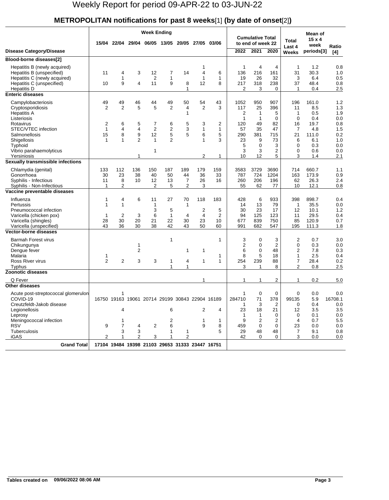## **METROPOLITAN notifications for past 8 weeks**[1] **(by date of onset**[2]**)**

|                                                                                                                                                                  | <b>Week Ending</b>                      |                                    |                                            |                                                 |                                                     |                          |                           |                           |                                           |                                                             |                                            |                                                                 | Mean of                                         |                                        |
|------------------------------------------------------------------------------------------------------------------------------------------------------------------|-----------------------------------------|------------------------------------|--------------------------------------------|-------------------------------------------------|-----------------------------------------------------|--------------------------|---------------------------|---------------------------|-------------------------------------------|-------------------------------------------------------------|--------------------------------------------|-----------------------------------------------------------------|-------------------------------------------------|----------------------------------------|
|                                                                                                                                                                  |                                         | 15/04 22/04                        |                                            | 29/04 06/05 13/05                               |                                                     | 20/05                    | 27/05 03/06               |                           |                                           | <b>Cumulative Total</b><br>to end of week 22                |                                            | <b>Total</b><br>Last 4                                          | $15 \times 4$<br>week                           | Ratio                                  |
| Disease Category/Disease                                                                                                                                         |                                         |                                    |                                            |                                                 |                                                     |                          |                           |                           | 2022                                      | 2021                                                        | 2020                                       | Weeks                                                           | periods[3]                                      | [4]                                    |
| Blood-borne diseases[2]                                                                                                                                          |                                         |                                    |                                            |                                                 |                                                     |                          |                           |                           |                                           |                                                             |                                            |                                                                 |                                                 |                                        |
| Hepatitis B (newly acquired)<br>Hepatitis B (unspecified)<br>Hepatitis C (newly acquired)<br>Hepatitis C (unspecified)<br>Hepatitis D<br><b>Enteric diseases</b> | 11<br>10                                | 4<br>1<br>9                        | 3<br>$\overline{\mathbf{4}}$               | 12<br>$\overline{2}$<br>11                      | 7<br>$\mathbf{1}$<br>9                              | 14<br>8<br>$\mathbf{1}$  | 4<br>$\mathbf{1}$<br>12   | 6<br>1<br>8               | 1<br>136<br>19<br>217<br>2                | 4<br>216<br>26<br>318<br>3                                  | 4<br>161<br>32<br>238<br>$\Omega$          | $\mathbf{1}$<br>31<br>3<br>37<br>$\mathbf{1}$                   | 1.2<br>30.3<br>6.4<br>48.4<br>0.4               | 0.8<br>1.0<br>0.5<br>0.8<br>2.5        |
|                                                                                                                                                                  |                                         |                                    |                                            |                                                 |                                                     |                          |                           |                           |                                           |                                                             |                                            |                                                                 |                                                 |                                        |
| Campylobacteriosis<br>Cryptosporidiosis<br><b>Hepatitis A</b><br>Listeriosis                                                                                     | 49<br>$\overline{2}$                    | 49<br>$\overline{2}$               | 46<br>5                                    | 44<br>5                                         | 49<br>$\overline{\mathbf{c}}$                       | 50<br>4<br>1             | 54<br>2                   | 43<br>3                   | 1052<br>117<br>2<br>1                     | 950<br>25<br>$\mathbf{1}$<br>$\mathbf{1}$                   | 907<br>396<br>5<br>$\Omega$                | 196<br>11<br>$\mathbf{1}$<br>$\Omega$<br>16                     | 161.0<br>8.5<br>0.5<br>0.4                      | 1.2<br>1.3<br>1.9<br>0.0<br>0.8        |
| Rotavirus<br>STEC/VTEC infection<br>Salmonellosis<br>Shigellosis<br>Typhoid                                                                                      | 2<br>$\mathbf{1}$<br>15<br>$\mathbf{1}$ | 6<br>4<br>8<br>$\mathbf{1}$        | 5<br>$\overline{4}$<br>9<br>$\overline{2}$ | 7<br>$\overline{2}$<br>12<br>$\mathbf{1}$       | 6<br>$\overline{\mathbf{c}}$<br>5<br>$\overline{2}$ | 5<br>3<br>5              | 3<br>1<br>6<br>1          | 2<br>1<br>5<br>3          | 120<br>57<br>290<br>23<br>5               | 49<br>35<br>381<br>9<br>$\Omega$                            | 82<br>47<br>715<br>73<br>3                 | 7<br>21<br>6<br>0                                               | 19.7<br>4.8<br>111.0<br>6.1<br>0.3              | 1.5<br>0.2<br>1.0<br>0.0               |
| Vibrio parahaemolyticus<br>Yersiniosis                                                                                                                           |                                         |                                    | 1                                          | 1                                               |                                                     |                          | 2                         | 1                         | 3<br>10                                   | 3<br>12                                                     | 2<br>5                                     | 0<br>3                                                          | 0.6<br>1.4                                      | 0.0<br>2.1                             |
| Sexually transmissible infections                                                                                                                                |                                         |                                    |                                            |                                                 |                                                     |                          |                           |                           |                                           |                                                             |                                            |                                                                 |                                                 |                                        |
| Chlamydia (genital)<br>Gonorrhoea<br>Syphilis - Infectious<br>Syphilis - Non-Infectious                                                                          | 133<br>30<br>11<br>$\mathbf{1}$         | 112<br>23<br>8<br>2                | 136<br>38<br>10                            | 150<br>40<br>12<br>2                            | 187<br>50<br>13<br>5                                | 189<br>44<br>7<br>2      | 179<br>36<br>26<br>3      | 159<br>33<br>16           | 3583<br>787<br>260<br>55                  | 3729<br>724<br>206<br>62                                    | 3690<br>1204<br>196<br>77                  | 714<br>163<br>62<br>10                                          | 660.7<br>173.9<br>26.3<br>12.1                  | 1.1<br>0.9<br>2.4<br>0.8               |
| Vaccine preventable diseases                                                                                                                                     |                                         |                                    |                                            |                                                 |                                                     |                          |                           |                           |                                           |                                                             |                                            |                                                                 |                                                 |                                        |
| Influenza<br>Pertussis<br>Pneumococcal infection<br>Varicella (chicken pox)<br>Varicella (shingles)<br>Varicella (unspecified)                                   | 1<br>1<br>1<br>28<br>43                 | 4<br>$\mathbf{1}$<br>2<br>30<br>36 | 6<br>3<br>20<br>30                         | 11<br>1<br>3<br>6<br>21<br>38                   | 27<br>5<br>1<br>22<br>42                            | 70<br>1<br>4<br>30<br>43 | 118<br>2<br>4<br>23<br>50 | 183<br>5<br>2<br>10<br>60 | 428<br>14<br>30<br>94<br>677<br>991       | 6<br>13<br>23<br>125<br>839<br>682                          | 933<br>79<br>17<br>123<br>750<br>547       | 398<br>$\mathbf{1}$<br>12<br>11<br>85<br>195                    | 898.7<br>35.5<br>10.1<br>29.5<br>120.9<br>111.3 | 0.4<br>0.0<br>1.2<br>0.4<br>0.7<br>1.8 |
| <b>Vector-borne diseases</b>                                                                                                                                     |                                         |                                    |                                            |                                                 |                                                     |                          |                           |                           |                                           |                                                             |                                            |                                                                 |                                                 |                                        |
| <b>Barmah Forest virus</b><br>Chikungunya<br>Dengue fever<br>Malaria<br>Ross River virus<br>Typhus                                                               | 1<br>$\overline{2}$                     | 2                                  | 1<br>$\overline{2}$<br>3                   | 3                                               | $\mathbf{1}$<br>$\mathbf{1}$<br>1                   | 1<br>4<br>$\mathbf{1}$   | 1<br>1                    | 1<br>1<br>1               | 3<br>$\overline{2}$<br>6<br>8<br>254<br>3 | 0<br>$\mathbf 0$<br>$\mathbf 0$<br>5<br>239<br>$\mathbf{1}$ | 3<br>$\overline{2}$<br>48<br>18<br>88<br>8 | 2<br>0<br>$\overline{2}$<br>$\mathbf{1}$<br>7<br>$\overline{2}$ | 0.7<br>0.3<br>7.8<br>2.5<br>28.4<br>0.8         | 3.0<br>0.0<br>0.3<br>0.4<br>0.2<br>2.5 |
| Zoonotic diseases                                                                                                                                                |                                         |                                    |                                            |                                                 |                                                     |                          |                           |                           |                                           |                                                             |                                            |                                                                 |                                                 |                                        |
| Q Fever                                                                                                                                                          |                                         |                                    |                                            |                                                 |                                                     |                          | 1                         |                           | 1                                         | 1                                                           | 2                                          | 1                                                               | 0.2                                             | 5.0                                    |
| <b>Other diseases</b><br>Acute post-streptococcal glomerulon<br>COVID-19<br>Creutzfeldt-Jakob disease<br>Legionellosis<br>Leprosy                                |                                         | 1<br>4                             |                                            | 16750 19163 19061 20714 29199 30843 22904 16189 | 6                                                   |                          | 2                         | 4                         | 1<br>284710<br>-1<br>23<br>$\overline{1}$ | 0<br>71<br>3<br>18<br>1                                     | $\Omega$<br>378<br>2<br>21<br>0            | $\mathbf 0$<br>99135<br>0<br>12<br>0                            | 0.0<br>5.9<br>0.4<br>3.5<br>0.1                 | 0.0<br>16708.1<br>0.0<br>3.5<br>0.0    |
| Meningococcal infection<br><b>RSV</b><br>Tuberculosis<br>iGAS                                                                                                    | 9<br>$\overline{2}$                     | 1<br>$\overline{7}$<br>3<br>1      | 4<br>3<br>2                                | 2<br>3                                          | 2<br>6<br>1<br>$\mathbf{1}$                         | $\mathbf{1}$<br>2        | 1<br>9                    | 1<br>8<br>5               | 9<br>459<br>29<br>42                      | $\overline{2}$<br>$\mathbf 0$<br>48<br>$\Omega$             | 2<br>0<br>48<br>0                          | 4<br>23<br>7<br>3                                               | 0.7<br>0.0<br>9.1<br>0.0                        | 5.5<br>0.0<br>0.8<br>0.0               |
| <b>Grand Total</b>                                                                                                                                               |                                         |                                    |                                            | 17104 19484 19398 21103 29653 31333 23447 16751 |                                                     |                          |                           |                           |                                           |                                                             |                                            |                                                                 |                                                 |                                        |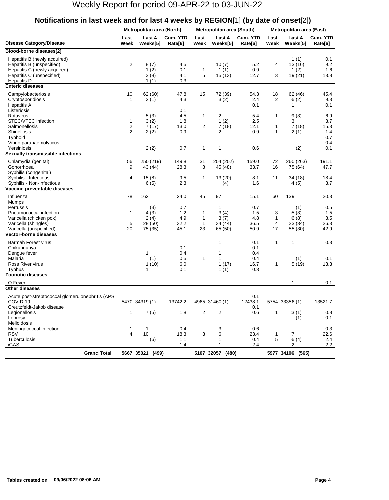|                                                                                                                                         |                               | Metropolitan area (North)                        |                                           |                                    | Metropolitan area (South)                     |                                           | <b>Metropolitan area (East)</b> |                                                  |                                           |  |
|-----------------------------------------------------------------------------------------------------------------------------------------|-------------------------------|--------------------------------------------------|-------------------------------------------|------------------------------------|-----------------------------------------------|-------------------------------------------|---------------------------------|--------------------------------------------------|-------------------------------------------|--|
| <b>Disease Category/Disease</b>                                                                                                         | Last<br>Week                  | Last 4<br>Weeks[5]                               | Cum. YTD<br>Rate[6]                       | Last<br>Week                       | Last 4<br>Weeks[5]                            | Cum. YTD<br>Rate[6]                       | Last<br>Week                    | Last 4<br>Weeks[5]                               | Cum. YTD<br>Rate[6]                       |  |
| Blood-borne diseases[2]                                                                                                                 |                               |                                                  |                                           |                                    |                                               |                                           |                                 |                                                  |                                           |  |
| Hepatitis B (newly acquired)<br>Hepatitis B (unspecified)<br>Hepatitis C (newly acquired)<br>Hepatitis C (unspecified)<br>Hepatitis D   | $\overline{c}$                | 8(7)<br>1(2)<br>3(8)<br>1(1)                     | 4.5<br>0.1<br>4.1<br>0.3                  | $\mathbf{1}$<br>5                  | 10(7)<br>1(1)<br>15(13)                       | 5.2<br>0.9<br>12.7                        | 4<br>3                          | 1(1)<br>13(16)<br>1(2)<br>19 (21)                | 0.1<br>9.2<br>1.6<br>13.8                 |  |
| <b>Enteric diseases</b>                                                                                                                 |                               |                                                  |                                           |                                    |                                               |                                           |                                 |                                                  |                                           |  |
| Campylobacteriosis<br>Cryptosporidiosis<br><b>Hepatitis A</b><br>Listeriosis                                                            | 10<br>$\mathbf{1}$            | 62 (60)<br>2(1)                                  | 47.8<br>4.3<br>0.1                        | 15                                 | 72 (39)<br>3(2)                               | 54.3<br>2.4<br>0.1                        | 18<br>$\overline{2}$            | 62 (46)<br>6(2)<br>1                             | 45.4<br>9.3<br>0.1                        |  |
| Rotavirus<br>STEC/VTEC infection<br>Salmonellosis<br>Shigellosis<br>Typhoid                                                             | 1<br>2<br>2                   | 5(3)<br>3(2)<br>7(17)<br>2(2)                    | 4.5<br>1.8<br>13.0<br>0.9                 | 1<br>$\overline{2}$                | 2<br>1(2)<br>7(18)<br>2                       | 5.4<br>2.5<br>12.1<br>0.9                 | 1<br>1<br>1                     | 9(3)<br>3<br>7(18)<br>2(1)                       | 6.9<br>3.7<br>15.3<br>1.4<br>0.7          |  |
| Vibrio parahaemolyticus<br>Yersiniosis                                                                                                  |                               | 2(2)                                             | 0.7                                       | 1                                  | 1                                             | 0.6                                       |                                 | (2)                                              | 0.4<br>0.1                                |  |
| Sexually transmissible infections                                                                                                       |                               |                                                  |                                           |                                    |                                               |                                           |                                 |                                                  |                                           |  |
| Chlamydia (genital)<br>Gonorrhoea<br>Syphilis (congenital)                                                                              | 56<br>9                       | 250 (219)<br>43 (44)                             | 149.8<br>28.3                             | 31<br>8                            | 204 (202)<br>45 (48)                          | 159.0<br>33.7                             | 72<br>16                        | 260 (263)<br>75 (64)                             | 191.1<br>47.7                             |  |
| Syphilis - Infectious<br>Syphilis - Non-Infectious                                                                                      | 4                             | 15(8)<br>6(5)                                    | 9.5<br>2.3                                | 1                                  | 13 (20)<br>(4)                                | 8.1<br>1.6                                | 11                              | 34(18)<br>4(5)                                   | 18.4<br>3.7                               |  |
| Vaccine preventable diseases                                                                                                            |                               |                                                  |                                           |                                    |                                               |                                           |                                 |                                                  |                                           |  |
| Influenza<br>Mumps<br>Pertussis<br>Pneumococcal infection<br>Varicella (chicken pox)<br>Varicella (shingles)<br>Varicella (unspecified) | 78<br>$\mathbf{1}$<br>5<br>20 | 162<br>(3)<br>4(3)<br>2(4)<br>28 (50)<br>75 (35) | 24.0<br>0.7<br>1.2<br>4.9<br>32.2<br>45.1 | 45<br>1<br>1<br>$\mathbf{1}$<br>23 | 97<br>1<br>3(4)<br>3(7)<br>34 (44)<br>65 (50) | 15.1<br>0.7<br>1.5<br>4.8<br>36.5<br>50.9 | 60<br>3<br>1<br>4<br>17         | 139<br>(1)<br>5(3)<br>6(8)<br>23 (34)<br>55 (30) | 20.3<br>0.5<br>1.5<br>3.5<br>26.3<br>42.9 |  |
| <b>Vector-borne diseases</b>                                                                                                            |                               |                                                  |                                           |                                    |                                               |                                           |                                 |                                                  |                                           |  |
| <b>Barmah Forest virus</b><br>Chikungunya<br>Dengue fever<br>Malaria                                                                    |                               | 1<br>(1)                                         | 0.1<br>0.4<br>0.5                         | 1                                  | 1<br>1<br>$\mathbf{1}$                        | 0.1<br>0.1<br>0.4<br>0.4                  | 1                               | 1<br>(1)                                         | 0.3<br>0.1                                |  |
| Ross River virus<br><b>Typhus</b>                                                                                                       |                               | 1(10)<br>$\mathbf{1}$                            | 6.0<br>0.1                                |                                    | 1(17)<br>1(1)                                 | 16.7<br>0.3                               | 1                               | 5(19)                                            | 13.3                                      |  |
| <b>Zoonotic diseases</b>                                                                                                                |                               |                                                  |                                           |                                    |                                               |                                           |                                 |                                                  |                                           |  |
| Q Fever                                                                                                                                 |                               |                                                  |                                           |                                    |                                               |                                           |                                 | 1                                                | 0.1                                       |  |
| Other diseases<br>Acute post-streptococcal glomerulonephritis (APS<br>COVID-19<br>Creutzfeldt-Jakob disease                             |                               | 5470 34319 (1)                                   | 13742.2                                   |                                    | 4965 31460 (1)                                | 0.1<br>12438.1<br>0.1                     |                                 | 5754 33356 (1)                                   | 13521.7                                   |  |
| Legionellosis<br>Leprosy<br>Melioidosis                                                                                                 | 1                             | 7(5)                                             | 1.8                                       | 2                                  | 2                                             | 0.6                                       | $\mathbf{1}$                    | 3(1)<br>(1)                                      | 0.8<br>0.1                                |  |
| Meningococcal infection<br><b>RSV</b><br><b>Tuberculosis</b><br>iGAS                                                                    | $\mathbf{1}$<br>4             | $\mathbf{1}$<br>10<br>(6)                        | 0.4<br>18.3<br>1.1<br>1.4                 | 3                                  | 3<br>6<br>1<br>1                              | 0.6<br>23.4<br>0.4<br>2.4                 | $\mathbf{1}$<br>5               | 7<br>6(4)<br>2                                   | 0.3<br>22.6<br>2.4<br>2.2                 |  |
| <b>Grand Total</b>                                                                                                                      |                               | 5667 35021 (499)                                 |                                           |                                    | 5107 32057 (480)                              |                                           |                                 | 5977 34106 (565)                                 |                                           |  |
|                                                                                                                                         |                               |                                                  |                                           |                                    |                                               |                                           |                                 |                                                  |                                           |  |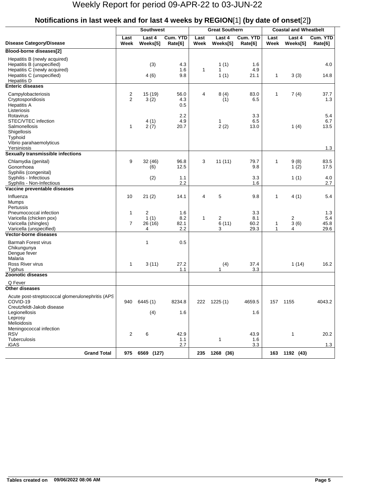|                                                                                                                                       |                                  | <b>Southwest</b>                       |                           |              | <b>Great Southern</b>        |                            | <b>Coastal and Wheatbelt</b> |                    |                            |  |
|---------------------------------------------------------------------------------------------------------------------------------------|----------------------------------|----------------------------------------|---------------------------|--------------|------------------------------|----------------------------|------------------------------|--------------------|----------------------------|--|
| <b>Disease Category/Disease</b>                                                                                                       | Last<br>Week                     | Last 4<br>Weeks[5]                     | Cum. YTD<br>Rate[6]       | Last<br>Week | Last 4<br>Weeks[5]           | Cum. YTD<br>Rate[6]        | Last<br>Week                 | Last 4<br>Weeks[5] | Cum. YTD<br>Rate[6]        |  |
| Blood-borne diseases[2]                                                                                                               |                                  |                                        |                           |              |                              |                            |                              |                    |                            |  |
| Hepatitis B (newly acquired)<br>Hepatitis B (unspecified)<br>Hepatitis C (newly acquired)<br>Hepatitis C (unspecified)<br>Hepatitis D |                                  | (3)<br>4(6)                            | 4.3<br>1.6<br>9.8         | $\mathbf{1}$ | 1(1)<br>$\mathbf{1}$<br>1(1) | 1.6<br>4.9<br>21.1         | $\mathbf{1}$                 | 3(3)               | 4.0<br>14.8                |  |
| <b>Enteric diseases</b>                                                                                                               |                                  |                                        |                           |              |                              |                            |                              |                    |                            |  |
| Campylobacteriosis<br>Cryptosporidiosis<br><b>Hepatitis A</b><br>Listeriosis                                                          | $\overline{c}$<br>$\overline{2}$ | 15 (19)<br>3(2)                        | 56.0<br>4.3<br>0.5        | 4            | 8(4)<br>(1)                  | 83.0<br>6.5                | $\mathbf{1}$                 | 7(4)               | 37.7<br>1.3                |  |
| Rotavirus<br>STEC/VTEC infection<br>Salmonellosis<br>Shigellosis<br>Typhoid                                                           | $\mathbf{1}$                     | 4(1)<br>2(7)                           | 2.2<br>4.9<br>20.7        |              | 1<br>2(2)                    | 3.3<br>6.5<br>13.0         |                              | 1(4)               | 5.4<br>6.7<br>13.5         |  |
| Vibrio parahaemolyticus                                                                                                               |                                  |                                        |                           |              |                              |                            |                              |                    |                            |  |
| Yersiniosis<br>Sexually transmissible infections                                                                                      |                                  |                                        |                           |              |                              |                            |                              |                    | 1.3                        |  |
| Chlamydia (genital)<br>Gonorrhoea                                                                                                     | 9                                | 32 (46)<br>(6)                         | 96.8<br>12.5              | 3            | 11(11)                       | 79.7<br>9.8                | $\mathbf{1}$                 | 9(8)<br>1(2)       | 83.5<br>17.5               |  |
| Syphilis (congenital)<br>Syphilis - Infectious<br>Syphilis - Non-Infectious                                                           |                                  | (2)                                    | 1.1<br>2.2                |              |                              | 3.3<br>1.6                 |                              | 1(1)               | 4.0<br>2.7                 |  |
| Vaccine preventable diseases                                                                                                          |                                  |                                        |                           |              |                              |                            |                              |                    |                            |  |
| Influenza<br>Mumps<br>Pertussis                                                                                                       | 10                               | 21(2)                                  | 14.1                      | 4            | 5                            | 9.8                        | 1                            | 4(1)               | 5.4                        |  |
| Pneumococcal infection<br>Varicella (chicken pox)<br>Varicella (shingles)<br>Varicella (unspecified)                                  | $\mathbf{1}$<br>$\overline{7}$   | $\overline{2}$<br>1(1)<br>26 (16)<br>4 | 1.6<br>8.2<br>82.1<br>2.2 | 1            | 2<br>6(11)<br>3              | 3.3<br>8.1<br>60.2<br>29.3 | $\mathbf{1}$<br>$\mathbf{1}$ | 2<br>3(6)<br>4     | 1.3<br>5.4<br>45.8<br>29.6 |  |
| Vector-borne diseases                                                                                                                 |                                  |                                        |                           |              |                              |                            |                              |                    |                            |  |
| <b>Barmah Forest virus</b><br>Chikungunya<br>Dengue fever<br>Malaria                                                                  |                                  | $\mathbf{1}$                           | 0.5                       |              |                              |                            |                              |                    |                            |  |
| Ross River virus                                                                                                                      | $\mathbf{1}$                     | 3(11)                                  | 27.2                      |              | (4)                          | 37.4                       |                              | 1(14)              | 16.2                       |  |
| <b>Typhus</b><br><b>Zoonotic diseases</b>                                                                                             |                                  |                                        | 1.1                       |              | 1                            | 3.3                        |                              |                    |                            |  |
| Q Fever                                                                                                                               |                                  |                                        |                           |              |                              |                            |                              |                    |                            |  |
| <b>Other diseases</b>                                                                                                                 |                                  |                                        |                           |              |                              |                            |                              |                    |                            |  |
| Acute post-streptococcal glomerulonephritis (APS<br>COVID-19<br>Creutzfeldt-Jakob disease                                             |                                  | 940 6445 (1)                           | 8234.8                    |              | 222 1225 (1)                 | 4659.5                     |                              | 157 1155           | 4043.2                     |  |
| Legionellosis<br>Leprosy<br>Melioidosis                                                                                               |                                  | (4)                                    | 1.6                       |              |                              | 1.6                        |                              |                    |                            |  |
| Meningococcal infection<br><b>RSV</b><br>Tuberculosis                                                                                 | $\overline{2}$                   | 6                                      | 42.9<br>1.1               |              | 1                            | 43.9<br>1.6                |                              | 1                  | 20.2                       |  |
| iGAS                                                                                                                                  |                                  |                                        | 2.7                       |              |                              | 3.3                        |                              |                    | 1.3                        |  |
| <b>Grand Total</b>                                                                                                                    |                                  | 975 6569 (127)                         |                           | 235          | 1268 (36)                    |                            |                              | 163 1192 (43)      |                            |  |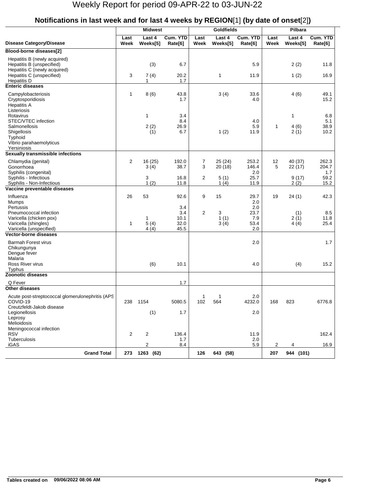|                                                                                                                            |                | <b>Midwest</b>     |                                    |                | <b>Goldfields</b>  |                                          | Pilbara        |                              |                            |  |
|----------------------------------------------------------------------------------------------------------------------------|----------------|--------------------|------------------------------------|----------------|--------------------|------------------------------------------|----------------|------------------------------|----------------------------|--|
| <b>Disease Category/Disease</b>                                                                                            | Last<br>Week   | Last 4<br>Weeks[5] | Cum. YTD<br>Rate[6]                | Last<br>Week   | Last 4<br>Weeks[5] | Cum. YTD<br>Rate[6]                      | Last<br>Week   | Last 4<br>Weeks[5]           | Cum. YTD<br>Rate[6]        |  |
| Blood-borne diseases[2]                                                                                                    |                |                    |                                    |                |                    |                                          |                |                              |                            |  |
| Hepatitis B (newly acquired)<br>Hepatitis B (unspecified)<br>Hepatitis C (newly acquired)<br>Hepatitis C (unspecified)     | 3              | (3)<br>7(4)        | 6.7<br>20.2                        |                | 1                  | 5.9<br>11.9                              |                | 2(2)<br>1(2)                 | 11.8<br>16.9               |  |
| <b>Hepatitis D</b>                                                                                                         |                | 1                  | 1.7                                |                |                    |                                          |                |                              |                            |  |
| <b>Enteric diseases</b>                                                                                                    |                |                    |                                    |                |                    |                                          |                |                              |                            |  |
| Campylobacteriosis<br>Cryptosporidiosis<br><b>Hepatitis A</b><br>Listeriosis                                               | $\mathbf{1}$   | 8(6)               | 43.8<br>1.7                        |                | 3(4)               | 33.6<br>4.0                              |                | 4(6)                         | 49.1<br>15.2               |  |
| Rotavirus<br>STEC/VTEC infection<br>Salmonellosis<br>Shigellosis<br>Typhoid<br>Vibrio parahaemolyticus                     |                | 1<br>2(2)<br>(1)   | 3.4<br>8.4<br>26.9<br>6.7          |                | 1(2)               | 4.0<br>5.9<br>11.9                       | $\mathbf{1}$   | $\mathbf{1}$<br>4(6)<br>2(1) | 6.8<br>5.1<br>38.9<br>10.2 |  |
| Yersiniosis                                                                                                                |                |                    |                                    |                |                    |                                          |                |                              |                            |  |
| Sexually transmissible infections<br>Chlamydia (genital)<br>Gonorrhoea<br>Syphilis (congenital)                            | $\overline{2}$ | 16 (25)<br>3(4)    | 192.0<br>38.7                      | 7<br>3         | 25(24)<br>20 (18)  | 253.2<br>146.4<br>2.0                    | 12<br>5        | 40 (37)<br>22 (17)           | 262.3<br>204.7<br>1.7      |  |
| Syphilis - Infectious<br>Syphilis - Non-Infectious<br>Vaccine preventable diseases                                         |                | 3<br>1(2)          | 16.8<br>11.8                       | $\overline{2}$ | 5(1)<br>1(4)       | 25.7<br>11.9                             |                | 9(17)<br>2(2)                | 59.2<br>15.2               |  |
| Influenza                                                                                                                  | 26             | 53                 | 92.6                               | 9              | 15                 | 29.7                                     | 19             |                              | 42.3                       |  |
| Mumps<br>Pertussis<br>Pneumococcal infection<br>Varicella (chicken pox)<br>Varicella (shingles)<br>Varicella (unspecified) | $\mathbf{1}$   | 1<br>5(4)<br>4(4)  | 3.4<br>3.4<br>10.1<br>32.0<br>45.5 | $\overline{2}$ | 3<br>1(1)<br>3(4)  | 2.0<br>2.0<br>23.7<br>7.9<br>53.4<br>2.0 |                | 24(1)<br>(1)<br>2(1)<br>4(4) | 8.5<br>11.8<br>25.4        |  |
| <b>Vector-borne diseases</b>                                                                                               |                |                    |                                    |                |                    |                                          |                |                              |                            |  |
| <b>Barmah Forest virus</b><br>Chikungunya<br>Dengue fever<br>Malaria                                                       |                |                    |                                    |                |                    | 2.0                                      |                |                              | 1.7                        |  |
| Ross River virus                                                                                                           |                | (6)                | 10.1                               |                |                    | 4.0                                      |                | (4)                          | 15.2                       |  |
| Typhus                                                                                                                     |                |                    |                                    |                |                    |                                          |                |                              |                            |  |
| <b>Zoonotic diseases</b>                                                                                                   |                |                    |                                    |                |                    |                                          |                |                              |                            |  |
| Q Fever<br>Other diseases                                                                                                  |                |                    | 1.7                                |                |                    |                                          |                |                              |                            |  |
| Acute post-streptococcal glomerulonephritis (APS<br>COVID-19<br>Creutzfeldt-Jakob disease<br>Legionellosis                 | 238            | 1154<br>(1)        | 5080.5<br>1.7                      | -1<br>102      | 1<br>564           | 2.0<br>4232.0<br>2.0                     | 168            | 823                          | 6776.8                     |  |
| Leprosy<br>Melioidosis<br>Meningococcal infection                                                                          |                |                    |                                    |                |                    |                                          |                |                              |                            |  |
| <b>RSV</b><br>Tuberculosis                                                                                                 | $\overline{2}$ | 2                  | 136.4<br>1.7                       |                |                    | 11.9<br>2.0                              |                |                              | 162.4                      |  |
| iGAS                                                                                                                       |                | $\overline{2}$     | 8.4                                |                |                    | 5.9                                      | $\overline{2}$ | 4                            | 16.9                       |  |
| <b>Grand Total</b>                                                                                                         |                | 273 1263 (62)      |                                    | 126            | 643 (58)           |                                          | 207            | 944 (101)                    |                            |  |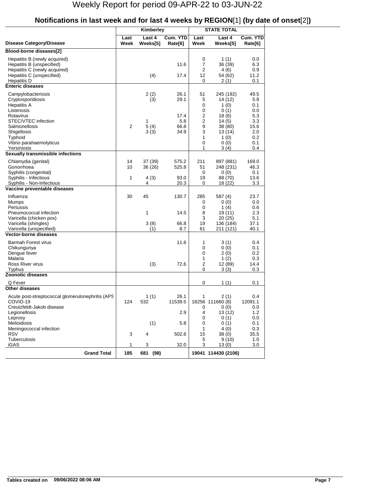| Cum. YTD<br>Last<br>Last 4<br>Last<br>Last 4<br>Disease Category/Disease<br>Week<br>Weeks[5]<br>Week<br>Rate[6]<br>Weeks[5]<br>Rate[6]<br>Blood-borne diseases[2]<br>0<br>Hepatitis B (newly acquired)<br>1 $(1)$<br>0.0<br>7<br>Hepatitis B (unspecified)<br>11.6<br>6.3<br>36 (39)<br>Hepatitis C (newly acquired)<br>2<br>0.9<br>4 (6)<br>Hepatitis C (unspecified)<br>12<br>11.2<br>(4)<br>17.4<br>54 (62)<br>0.1<br><b>Hepatitis D</b><br>0<br>2(1)<br><b>Enteric diseases</b><br>2(2)<br>26.1<br>Campylobacteriosis<br>51<br>245 (192)<br>49.5<br>Cryptosporidiosis<br>29.1<br>5<br>(3)<br>5.8<br>14 (12)<br>0<br><b>Hepatitis A</b><br>1 $(0)$<br>0.1<br>0<br>Listeriosis<br>0(1)<br>0.0<br>$\overline{\mathbf{c}}$<br>5.3<br>Rotavirus<br>17.4<br>18(6)<br>$\overline{2}$<br>STEC/VTEC infection<br>5.8<br>3.3<br>1<br>14(5)<br>5(4)<br>9<br>2<br>Salmonellosis<br>66.8<br>38 (80)<br>15.6<br>3<br>Shigellosis<br>3(3)<br>34.9<br>13 (14)<br>2.0<br>1<br>Typhoid<br>1 $(0)$<br>0.2<br>Vibrio parahaemolyticus<br>0<br>0(0)<br>0.1<br>Yersiniosis<br>1<br>3(4)<br>0.4<br>Sexually transmissible infections<br>14<br>211<br>Chlamydia (genital)<br>37 (39)<br>575.2<br>169.0<br>897 (881)<br>Gonorrhoea<br>10<br>51<br>46.3<br>36 (26)<br>525.8<br>248 (231)<br>Syphilis (congenital)<br>0<br>0(0)<br>0.1<br>Syphilis - Infectious<br>1<br>13.6<br>4(3)<br>93.0<br>19<br>88 (70)<br>4<br>20.3<br>3.3<br>Syphilis - Non-Infectious<br>0<br>18 (22)<br>Vaccine preventable diseases<br>30<br>45<br>Influenza<br>130.7<br>285<br>587 (4)<br>23.7<br>0<br>0(0)<br>0.0<br>Mumps<br>0<br>Pertussis<br>1 $(4)$<br>0.6<br>1<br>8<br>Pneumococcal infection<br>14.5<br>19 (11)<br>2.3<br>3<br>5.1<br>Varicella (chicken pox)<br>20(25)<br>3(8)<br>19<br>Varicella (shingles)<br>66.8<br>136 (184)<br>37.1<br>Varicella (unspecified)<br>(1)<br>8.7<br>61<br>40.1<br>211 (121)<br><b>Vector-borne diseases</b><br><b>Barmah Forest virus</b><br>11.6<br>1<br>3(1)<br>0.4<br>0<br>Chikungunya<br>0(0)<br>0.1<br>Dengue fever<br>0<br>0.2<br>2(0)<br>Malaria<br>1<br>1(2)<br>0.3<br>$\overline{2}$<br>Ross River virus<br>(3)<br>72.6<br>14.4<br>12 (89)<br>0<br>3(3)<br>Typhus<br>0.3<br><b>Zoonotic diseases</b><br>Q Fever<br>0<br>1(1)<br>0.1<br><b>Other diseases</b><br>Acute post-streptococcal glomerulonephritis (APS<br>1(1)<br>26.1<br>2(1)<br>0.4<br>1<br>124<br>11539.5<br>12091.1<br>COVID-19<br>532<br>18256 111660 (8)<br>Creutzfeldt-Jakob disease<br>0(0)<br>0.0<br>0<br>Legionellosis<br>2.9<br>4<br>13(12)<br>1.2<br>Leprosy<br>0<br>0(1)<br>0.0<br>Melioidosis<br>(1)<br>0(1)<br>5.8<br>0<br>0.1<br>Meningococcal infection<br>1<br>4(0)<br>0.3<br><b>RSV</b><br>3<br>38(0)<br>35.5<br>4<br>502.6<br>15<br>Tuberculosis<br>5<br>9(10)<br>1.0<br>iGAS<br>1<br>32.0<br>3<br>3.0<br>3<br>13(0)<br>19041 114430 (2106) |                    |     | Kimberley | <b>STATE TOTAL</b> |  |          |  |
|-----------------------------------------------------------------------------------------------------------------------------------------------------------------------------------------------------------------------------------------------------------------------------------------------------------------------------------------------------------------------------------------------------------------------------------------------------------------------------------------------------------------------------------------------------------------------------------------------------------------------------------------------------------------------------------------------------------------------------------------------------------------------------------------------------------------------------------------------------------------------------------------------------------------------------------------------------------------------------------------------------------------------------------------------------------------------------------------------------------------------------------------------------------------------------------------------------------------------------------------------------------------------------------------------------------------------------------------------------------------------------------------------------------------------------------------------------------------------------------------------------------------------------------------------------------------------------------------------------------------------------------------------------------------------------------------------------------------------------------------------------------------------------------------------------------------------------------------------------------------------------------------------------------------------------------------------------------------------------------------------------------------------------------------------------------------------------------------------------------------------------------------------------------------------------------------------------------------------------------------------------------------------------------------------------------------------------------------------------------------------------------------------------------------------------------------------------------------------------------------------------------------------------------------------------------------------------------------------------------------------------------------------------------------------------------------------------------------------------------------------------------------------------------------------------------------------------------|--------------------|-----|-----------|--------------------|--|----------|--|
|                                                                                                                                                                                                                                                                                                                                                                                                                                                                                                                                                                                                                                                                                                                                                                                                                                                                                                                                                                                                                                                                                                                                                                                                                                                                                                                                                                                                                                                                                                                                                                                                                                                                                                                                                                                                                                                                                                                                                                                                                                                                                                                                                                                                                                                                                                                                                                                                                                                                                                                                                                                                                                                                                                                                                                                                                                   |                    |     |           |                    |  | Cum. YTD |  |
|                                                                                                                                                                                                                                                                                                                                                                                                                                                                                                                                                                                                                                                                                                                                                                                                                                                                                                                                                                                                                                                                                                                                                                                                                                                                                                                                                                                                                                                                                                                                                                                                                                                                                                                                                                                                                                                                                                                                                                                                                                                                                                                                                                                                                                                                                                                                                                                                                                                                                                                                                                                                                                                                                                                                                                                                                                   |                    |     |           |                    |  |          |  |
|                                                                                                                                                                                                                                                                                                                                                                                                                                                                                                                                                                                                                                                                                                                                                                                                                                                                                                                                                                                                                                                                                                                                                                                                                                                                                                                                                                                                                                                                                                                                                                                                                                                                                                                                                                                                                                                                                                                                                                                                                                                                                                                                                                                                                                                                                                                                                                                                                                                                                                                                                                                                                                                                                                                                                                                                                                   |                    |     |           |                    |  |          |  |
|                                                                                                                                                                                                                                                                                                                                                                                                                                                                                                                                                                                                                                                                                                                                                                                                                                                                                                                                                                                                                                                                                                                                                                                                                                                                                                                                                                                                                                                                                                                                                                                                                                                                                                                                                                                                                                                                                                                                                                                                                                                                                                                                                                                                                                                                                                                                                                                                                                                                                                                                                                                                                                                                                                                                                                                                                                   |                    |     |           |                    |  |          |  |
|                                                                                                                                                                                                                                                                                                                                                                                                                                                                                                                                                                                                                                                                                                                                                                                                                                                                                                                                                                                                                                                                                                                                                                                                                                                                                                                                                                                                                                                                                                                                                                                                                                                                                                                                                                                                                                                                                                                                                                                                                                                                                                                                                                                                                                                                                                                                                                                                                                                                                                                                                                                                                                                                                                                                                                                                                                   |                    |     |           |                    |  |          |  |
|                                                                                                                                                                                                                                                                                                                                                                                                                                                                                                                                                                                                                                                                                                                                                                                                                                                                                                                                                                                                                                                                                                                                                                                                                                                                                                                                                                                                                                                                                                                                                                                                                                                                                                                                                                                                                                                                                                                                                                                                                                                                                                                                                                                                                                                                                                                                                                                                                                                                                                                                                                                                                                                                                                                                                                                                                                   |                    |     |           |                    |  |          |  |
|                                                                                                                                                                                                                                                                                                                                                                                                                                                                                                                                                                                                                                                                                                                                                                                                                                                                                                                                                                                                                                                                                                                                                                                                                                                                                                                                                                                                                                                                                                                                                                                                                                                                                                                                                                                                                                                                                                                                                                                                                                                                                                                                                                                                                                                                                                                                                                                                                                                                                                                                                                                                                                                                                                                                                                                                                                   |                    |     |           |                    |  |          |  |
|                                                                                                                                                                                                                                                                                                                                                                                                                                                                                                                                                                                                                                                                                                                                                                                                                                                                                                                                                                                                                                                                                                                                                                                                                                                                                                                                                                                                                                                                                                                                                                                                                                                                                                                                                                                                                                                                                                                                                                                                                                                                                                                                                                                                                                                                                                                                                                                                                                                                                                                                                                                                                                                                                                                                                                                                                                   |                    |     |           |                    |  |          |  |
|                                                                                                                                                                                                                                                                                                                                                                                                                                                                                                                                                                                                                                                                                                                                                                                                                                                                                                                                                                                                                                                                                                                                                                                                                                                                                                                                                                                                                                                                                                                                                                                                                                                                                                                                                                                                                                                                                                                                                                                                                                                                                                                                                                                                                                                                                                                                                                                                                                                                                                                                                                                                                                                                                                                                                                                                                                   |                    |     |           |                    |  |          |  |
|                                                                                                                                                                                                                                                                                                                                                                                                                                                                                                                                                                                                                                                                                                                                                                                                                                                                                                                                                                                                                                                                                                                                                                                                                                                                                                                                                                                                                                                                                                                                                                                                                                                                                                                                                                                                                                                                                                                                                                                                                                                                                                                                                                                                                                                                                                                                                                                                                                                                                                                                                                                                                                                                                                                                                                                                                                   |                    |     |           |                    |  |          |  |
|                                                                                                                                                                                                                                                                                                                                                                                                                                                                                                                                                                                                                                                                                                                                                                                                                                                                                                                                                                                                                                                                                                                                                                                                                                                                                                                                                                                                                                                                                                                                                                                                                                                                                                                                                                                                                                                                                                                                                                                                                                                                                                                                                                                                                                                                                                                                                                                                                                                                                                                                                                                                                                                                                                                                                                                                                                   |                    |     |           |                    |  |          |  |
|                                                                                                                                                                                                                                                                                                                                                                                                                                                                                                                                                                                                                                                                                                                                                                                                                                                                                                                                                                                                                                                                                                                                                                                                                                                                                                                                                                                                                                                                                                                                                                                                                                                                                                                                                                                                                                                                                                                                                                                                                                                                                                                                                                                                                                                                                                                                                                                                                                                                                                                                                                                                                                                                                                                                                                                                                                   |                    |     |           |                    |  |          |  |
|                                                                                                                                                                                                                                                                                                                                                                                                                                                                                                                                                                                                                                                                                                                                                                                                                                                                                                                                                                                                                                                                                                                                                                                                                                                                                                                                                                                                                                                                                                                                                                                                                                                                                                                                                                                                                                                                                                                                                                                                                                                                                                                                                                                                                                                                                                                                                                                                                                                                                                                                                                                                                                                                                                                                                                                                                                   |                    |     |           |                    |  |          |  |
|                                                                                                                                                                                                                                                                                                                                                                                                                                                                                                                                                                                                                                                                                                                                                                                                                                                                                                                                                                                                                                                                                                                                                                                                                                                                                                                                                                                                                                                                                                                                                                                                                                                                                                                                                                                                                                                                                                                                                                                                                                                                                                                                                                                                                                                                                                                                                                                                                                                                                                                                                                                                                                                                                                                                                                                                                                   |                    |     |           |                    |  |          |  |
|                                                                                                                                                                                                                                                                                                                                                                                                                                                                                                                                                                                                                                                                                                                                                                                                                                                                                                                                                                                                                                                                                                                                                                                                                                                                                                                                                                                                                                                                                                                                                                                                                                                                                                                                                                                                                                                                                                                                                                                                                                                                                                                                                                                                                                                                                                                                                                                                                                                                                                                                                                                                                                                                                                                                                                                                                                   |                    |     |           |                    |  |          |  |
|                                                                                                                                                                                                                                                                                                                                                                                                                                                                                                                                                                                                                                                                                                                                                                                                                                                                                                                                                                                                                                                                                                                                                                                                                                                                                                                                                                                                                                                                                                                                                                                                                                                                                                                                                                                                                                                                                                                                                                                                                                                                                                                                                                                                                                                                                                                                                                                                                                                                                                                                                                                                                                                                                                                                                                                                                                   |                    |     |           |                    |  |          |  |
|                                                                                                                                                                                                                                                                                                                                                                                                                                                                                                                                                                                                                                                                                                                                                                                                                                                                                                                                                                                                                                                                                                                                                                                                                                                                                                                                                                                                                                                                                                                                                                                                                                                                                                                                                                                                                                                                                                                                                                                                                                                                                                                                                                                                                                                                                                                                                                                                                                                                                                                                                                                                                                                                                                                                                                                                                                   |                    |     |           |                    |  |          |  |
|                                                                                                                                                                                                                                                                                                                                                                                                                                                                                                                                                                                                                                                                                                                                                                                                                                                                                                                                                                                                                                                                                                                                                                                                                                                                                                                                                                                                                                                                                                                                                                                                                                                                                                                                                                                                                                                                                                                                                                                                                                                                                                                                                                                                                                                                                                                                                                                                                                                                                                                                                                                                                                                                                                                                                                                                                                   |                    |     |           |                    |  |          |  |
|                                                                                                                                                                                                                                                                                                                                                                                                                                                                                                                                                                                                                                                                                                                                                                                                                                                                                                                                                                                                                                                                                                                                                                                                                                                                                                                                                                                                                                                                                                                                                                                                                                                                                                                                                                                                                                                                                                                                                                                                                                                                                                                                                                                                                                                                                                                                                                                                                                                                                                                                                                                                                                                                                                                                                                                                                                   |                    |     |           |                    |  |          |  |
|                                                                                                                                                                                                                                                                                                                                                                                                                                                                                                                                                                                                                                                                                                                                                                                                                                                                                                                                                                                                                                                                                                                                                                                                                                                                                                                                                                                                                                                                                                                                                                                                                                                                                                                                                                                                                                                                                                                                                                                                                                                                                                                                                                                                                                                                                                                                                                                                                                                                                                                                                                                                                                                                                                                                                                                                                                   |                    |     |           |                    |  |          |  |
|                                                                                                                                                                                                                                                                                                                                                                                                                                                                                                                                                                                                                                                                                                                                                                                                                                                                                                                                                                                                                                                                                                                                                                                                                                                                                                                                                                                                                                                                                                                                                                                                                                                                                                                                                                                                                                                                                                                                                                                                                                                                                                                                                                                                                                                                                                                                                                                                                                                                                                                                                                                                                                                                                                                                                                                                                                   |                    |     |           |                    |  |          |  |
|                                                                                                                                                                                                                                                                                                                                                                                                                                                                                                                                                                                                                                                                                                                                                                                                                                                                                                                                                                                                                                                                                                                                                                                                                                                                                                                                                                                                                                                                                                                                                                                                                                                                                                                                                                                                                                                                                                                                                                                                                                                                                                                                                                                                                                                                                                                                                                                                                                                                                                                                                                                                                                                                                                                                                                                                                                   | <b>Grand Total</b> | 185 | 681 (98)  |                    |  |          |  |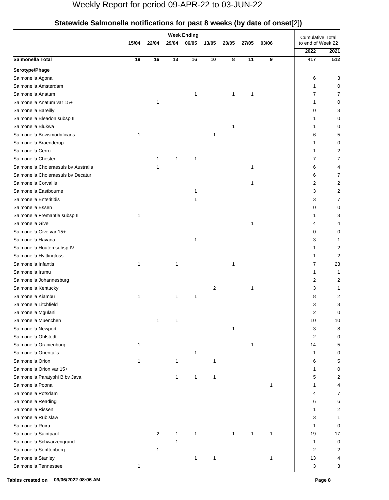|                                      |              |                |              | <b>Week Ending</b> |                |       |       |              | ינ—וי<br><b>Cumulative Total</b> |                |
|--------------------------------------|--------------|----------------|--------------|--------------------|----------------|-------|-------|--------------|----------------------------------|----------------|
|                                      | 15/04        | 22/04          | 29/04        | 06/05              |                | 20/05 | 27/05 | 03/06        | to end of Week 22                |                |
|                                      |              |                |              |                    |                |       |       |              | 2022                             | 2021           |
| Salmonella Total                     | 19           | 16             | 13           | 16                 | 10             | 8     | 11    | 9            | 417                              | 512            |
| Serotype/Phage                       |              |                |              |                    |                |       |       |              |                                  |                |
| Salmonella Agona                     |              |                |              |                    |                |       |       |              | 6                                | 3              |
| Salmonella Amsterdam                 |              |                |              |                    |                |       |       |              | 1                                | 0              |
| Salmonella Anatum                    |              |                |              | 1                  |                | 1     | 1     |              | 7                                | 7              |
| Salmonella Anatum var 15+            |              | 1              |              |                    |                |       |       |              | 1                                | 0              |
| Salmonella Bareilly                  |              |                |              |                    |                |       |       |              | 0                                | 3              |
| Salmonella Bleadon subsp II          |              |                |              |                    |                |       |       |              |                                  | 0              |
| Salmonella Blukwa                    |              |                |              |                    |                | 1     |       |              |                                  | 0              |
| Salmonella Bovismorbificans          | 1            |                |              |                    | 1              |       |       |              | 6                                | 5              |
| Salmonella Braenderup                |              |                |              |                    |                |       |       |              | 1                                | 0              |
| Salmonella Cerro                     |              |                |              |                    |                |       |       |              |                                  | 2              |
| Salmonella Chester                   |              | 1              | $\mathbf{1}$ | 1                  |                |       |       |              | 7                                | 7              |
| Salmonella Choleraesuis by Australia |              | 1              |              |                    |                |       | 1     |              | 6                                | 4              |
| Salmonella Choleraesuis by Decatur   |              |                |              |                    |                |       |       |              | 6                                | 7              |
| Salmonella Corvallis                 |              |                |              |                    |                |       | 1     |              | 2                                | 2              |
| Salmonella Eastbourne                |              |                |              | 1                  |                |       |       |              | 3                                | 2              |
| Salmonella Enteritidis               |              |                |              | 1                  |                |       |       |              | 3                                | 7              |
| Salmonella Essen                     |              |                |              |                    |                |       |       |              | 0                                | 0              |
| Salmonella Fremantle subsp II        | $\mathbf{1}$ |                |              |                    |                |       |       |              |                                  | 3              |
| Salmonella Give                      |              |                |              |                    |                |       | 1     |              | 4                                | 4              |
| Salmonella Give var 15+              |              |                |              |                    |                |       |       |              | 0                                | 0              |
| Salmonella Havana                    |              |                |              | 1                  |                |       |       |              | 3                                | 1              |
| Salmonella Houten subsp IV           |              |                |              |                    |                |       |       |              | 1                                | 2              |
| Salmonella Hvittingfoss              |              |                |              |                    |                |       |       |              | 1                                | 2              |
| Salmonella Infantis                  | 1            |                | 1            |                    |                | 1     |       |              | 7                                | 23             |
| Salmonella Irumu                     |              |                |              |                    |                |       |       |              | 1                                | 1              |
| Salmonella Johannesburg              |              |                |              |                    |                |       |       |              | 2                                | 2              |
| Salmonella Kentucky                  |              |                |              |                    | $\overline{2}$ |       | 1     |              | 3                                | 1              |
| Salmonella Kiambu                    | 1            |                | $\mathbf{1}$ | 1                  |                |       |       |              | 8                                | $\overline{c}$ |
| Salmonella Litchfield                |              |                |              |                    |                |       |       |              | 3                                | 3              |
| Salmonella Mgulani                   |              |                |              |                    |                |       |       |              | 2                                | 0              |
| Salmonella Muenchen                  |              | $\mathbf{1}$   | $\mathbf{1}$ |                    |                |       |       |              | 10                               | 10             |
| Salmonella Newport                   |              |                |              |                    |                | 1     |       |              | 3                                | 8              |
| Salmonella Ohlstedt                  |              |                |              |                    |                |       |       |              | 2                                | 0              |
| Salmonella Oranienburg               | $\mathbf{1}$ |                |              |                    |                |       | 1     |              | 14                               | 5              |
| Salmonella Orientalis                |              |                |              | 1                  |                |       |       |              | 1                                | 0              |
| Salmonella Orion                     |              |                | 1            |                    | 1              |       |       |              | 6                                | 5              |
| Salmonella Orion var 15+             |              |                |              |                    |                |       |       |              | 1                                | 0              |
| Salmonella Paratyphi B bv Java       |              |                | $\mathbf{1}$ | 1                  | 1              |       |       |              | 5                                | 2              |
| Salmonella Poona                     |              |                |              |                    |                |       |       | $\mathbf{1}$ | 1                                | 4              |
| Salmonella Potsdam                   |              |                |              |                    |                |       |       |              | 4                                | 7              |
| Salmonella Reading                   |              |                |              |                    |                |       |       |              | 6                                | 6              |
| Salmonella Rissen                    |              |                |              |                    |                |       |       |              | 1                                | 2              |
| Salmonella Rubislaw                  |              |                |              |                    |                |       |       |              | 3                                | 1              |
| Salmonella Ruiru                     |              |                |              |                    |                |       |       |              | 1                                | 0              |
| Salmonella Saintpaul                 |              | $\overline{2}$ | 1            | $\mathbf{1}$       |                | 1     | 1     | 1            | 19                               | 17             |
| Salmonella Schwarzengrund            |              |                | $\mathbf{1}$ |                    |                |       |       |              | $\mathbf{1}$                     | 0              |
| Salmonella Senftenberg               |              | 1              |              |                    |                |       |       |              | 2                                | 2              |
| Salmonella Stanley                   |              |                |              | $\mathbf{1}$       | 1              |       |       | 1            | 13                               | 4              |
| Salmonella Tennessee                 | $\mathbf{1}$ |                |              |                    |                |       |       |              | 3                                | 3              |
|                                      |              |                |              |                    |                |       |       |              |                                  |                |

## **Statewide Salmonella notifications for past 8 weeks (by date of onset**[2]**)**